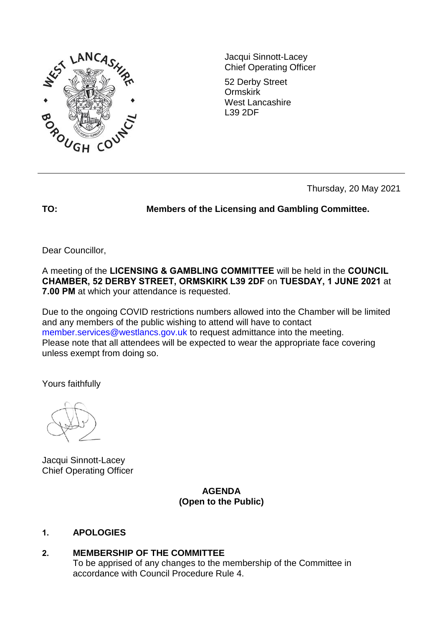

Jacqui Sinnott-Lacey Chief Operating Officer

52 Derby Street Ormskirk West Lancashire L39 2DF

Thursday, 20 May 2021

**TO: Members of the Licensing and Gambling Committee.** 

Dear Councillor,

A meeting of the **LICENSING & GAMBLING COMMITTEE** will be held in the **COUNCIL CHAMBER, 52 DERBY STREET, ORMSKIRK L39 2DF** on **TUESDAY, 1 JUNE 2021** at **7.00 PM** at which your attendance is requested.

Due to the ongoing COVID restrictions numbers allowed into the Chamber will be limited and any members of the public wishing to attend will have to contact member.services@westlancs.gov.uk to request admittance into the meeting. Please note that all attendees will be expected to wear the appropriate face covering unless exempt from doing so.

Yours faithfully

Jacqui Sinnott-Lacey Chief Operating Officer

> **AGENDA (Open to the Public)**

# **1. APOLOGIES**

# **2. MEMBERSHIP OF THE COMMITTEE**

To be apprised of any changes to the membership of the Committee in accordance with Council Procedure Rule 4.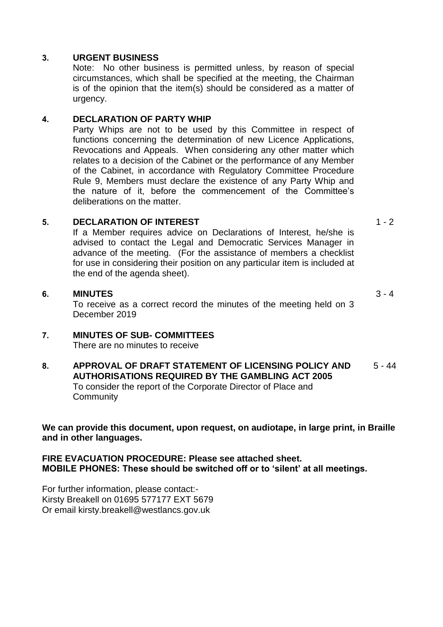#### **3. URGENT BUSINESS**

Note: No other business is permitted unless, by reason of special circumstances, which shall be specified at the meeting, the Chairman is of the opinion that the item(s) should be considered as a matter of urgency.

### **4. DECLARATION OF PARTY WHIP**

Party Whips are not to be used by this Committee in respect of functions concerning the determination of new Licence Applications, Revocations and Appeals. When considering any other matter which relates to a decision of the Cabinet or the performance of any Member of the Cabinet, in accordance with Regulatory Committee Procedure Rule 9, Members must declare the existence of any Party Whip and the nature of it, before the commencement of the Committee's deliberations on the matter.

#### **5. DECLARATION OF INTEREST**

 $1 - 2$ 

 $3 - 4$ 

If a Member requires advice on Declarations of Interest, he/she is advised to contact the Legal and Democratic Services Manager in advance of the meeting. (For the assistance of members a checklist for use in considering their position on any particular item is included at the end of the agenda sheet).

#### **6. MINUTES**

To receive as a correct record the minutes of the meeting held on 3 December 2019

# **7. MINUTES OF SUB- COMMITTEES**

There are no minutes to receive

#### **8. APPROVAL OF DRAFT STATEMENT OF LICENSING POLICY AND AUTHORISATIONS REQUIRED BY THE GAMBLING ACT 2005** To consider the report of the Corporate Director of Place and **Community** 5 - 44

**We can provide this document, upon request, on audiotape, in large print, in Braille and in other languages.** 

**FIRE EVACUATION PROCEDURE: Please see attached sheet. MOBILE PHONES: These should be switched off or to 'silent' at all meetings.**

For further information, please contact:- Kirsty Breakell on 01695 577177 EXT 5679 Or email kirsty.breakell@westlancs.gov.uk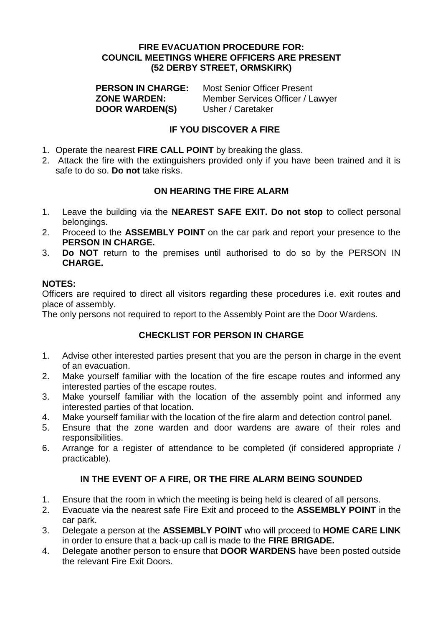#### **FIRE EVACUATION PROCEDURE FOR: COUNCIL MEETINGS WHERE OFFICERS ARE PRESENT (52 DERBY STREET, ORMSKIRK)**

**PERSON IN CHARGE:** Most Senior Officer Present **ZONE WARDEN:** Member Services Officer / Lawyer **DOOR WARDEN(S)** Usher / Caretaker

### **IF YOU DISCOVER A FIRE**

- 1. Operate the nearest **FIRE CALL POINT** by breaking the glass.
- 2. Attack the fire with the extinguishers provided only if you have been trained and it is safe to do so. **Do not** take risks.

### **ON HEARING THE FIRE ALARM**

- 1. Leave the building via the **NEAREST SAFE EXIT. Do not stop** to collect personal belongings.
- 2. Proceed to the **ASSEMBLY POINT** on the car park and report your presence to the **PERSON IN CHARGE.**
- 3. **Do NOT** return to the premises until authorised to do so by the PERSON IN **CHARGE.**

### **NOTES:**

Officers are required to direct all visitors regarding these procedures i.e. exit routes and place of assembly.

The only persons not required to report to the Assembly Point are the Door Wardens.

# **CHECKLIST FOR PERSON IN CHARGE**

- 1. Advise other interested parties present that you are the person in charge in the event of an evacuation.
- 2. Make yourself familiar with the location of the fire escape routes and informed any interested parties of the escape routes.
- 3. Make yourself familiar with the location of the assembly point and informed any interested parties of that location.
- 4. Make yourself familiar with the location of the fire alarm and detection control panel.
- 5. Ensure that the zone warden and door wardens are aware of their roles and responsibilities.
- 6. Arrange for a register of attendance to be completed (if considered appropriate / practicable).

# **IN THE EVENT OF A FIRE, OR THE FIRE ALARM BEING SOUNDED**

- 1. Ensure that the room in which the meeting is being held is cleared of all persons.
- 2. Evacuate via the nearest safe Fire Exit and proceed to the **ASSEMBLY POINT** in the car park.
- 3. Delegate a person at the **ASSEMBLY POINT** who will proceed to **HOME CARE LINK**  in order to ensure that a back-up call is made to the **FIRE BRIGADE.**
- 4. Delegate another person to ensure that **DOOR WARDENS** have been posted outside the relevant Fire Exit Doors.